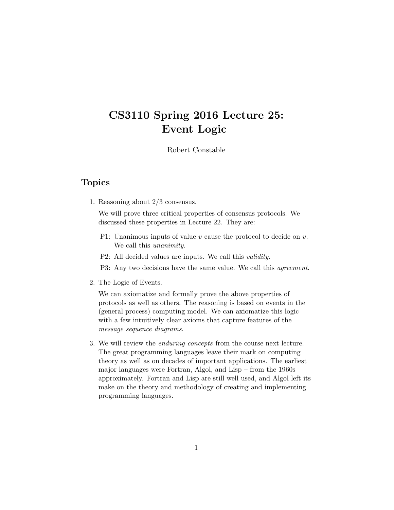# CS3110 Spring 2016 Lecture 25: Event Logic

Robert Constable

## Topics

1. Reasoning about 2/3 consensus.

We will prove three critical properties of consensus protocols. We discussed these properties in Lecture 22. They are:

- P1: Unanimous inputs of value  $v$  cause the protocol to decide on  $v$ . We call this *unanimity*.
- P2: All decided values are inputs. We call this validity.
- P3: Any two decisions have the same value. We call this *agreement*.
- 2. The Logic of Events.

We can axiomatize and formally prove the above properties of protocols as well as others. The reasoning is based on events in the (general process) computing model. We can axiomatize this logic with a few intuitively clear axioms that capture features of the message sequence diagrams.

3. We will review the enduring concepts from the course next lecture. The great programming languages leave their mark on computing theory as well as on decades of important applications. The earliest major languages were Fortran, Algol, and Lisp – from the 1960s approximately. Fortran and Lisp are still well used, and Algol left its make on the theory and methodology of creating and implementing programming languages.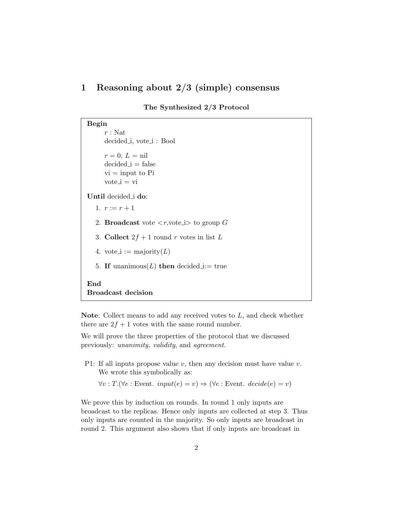## 1 Reasoning about 2/3 (simple) consensus

The Synthesized 2/3 Protocol

Begin  $r : Nat$ decided i, vote i : Bool  $r = 0, L = \text{nil}$  $decided_i = false$  $vi = input to Pi$  $vote_i = vi$ Until decided i do: 1.  $r := r + 1$ 2. **Broadcast** vote  $\langle r, \text{vote} \rangle$  to group G 3. Collect  $2f + 1$  round r votes in list L 4. vote\_i := majority $(L)$ 5. If unanimous(L) then decided i:= true End Broadcast decision

Note: Collect means to add any received votes to  $L$ , and check whether there are  $2f + 1$  votes with the same round number.

We will prove the three properties of the protocol that we discussed previously: unanimity, validity, and agreement.

P1: If all inputs propose value  $v$ , then any decision must have value  $v$ . We wrote this symbolically as:

 $\forall v : T. (\forall e : \text{Event.} input(e) = v) \Rightarrow (\forall e : \text{Event.} decide(e) = v)$ 

We prove this by induction on rounds. In round 1 only inputs are broadcast to the replicas. Hence only inputs are collected at step 3. Thus only inputs are counted in the majority. So only inputs are broadcast in round 2. This argument also shows that if only inputs are broadcast in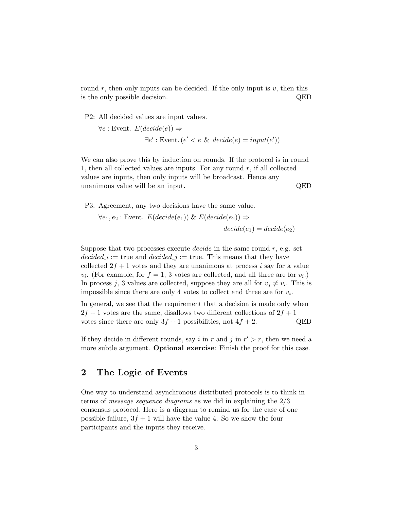round  $r$ , then only inputs can be decided. If the only input is  $v$ , then this is the only possible decision. QED

P2: All decided values are input values.

$$
\forall e : \text{Event. } E(decide(e)) \Rightarrow
$$
  

$$
\exists e' : \text{Event. } (e' < e \& decide(e) = input(e'))
$$

We can also prove this by induction on rounds. If the protocol is in round 1, then all collected values are inputs. For any round  $r$ , if all collected values are inputs, then only inputs will be broadcast. Hence any unanimous value will be an input. QED

P3. Agreement, any two decisions have the same value.

$$
\forall e_1, e_2 : \text{Event. } E(decide(e_1)) \& E(decide(e_2)) \Rightarrow
$$
  

$$
decide(e_1) = decide(e_2)
$$

Suppose that two processes execute *decide* in the same round  $r$ , e.g. set  $decided_i :=$  true and  $decided_j :=$  true. This means that they have collected  $2f + 1$  votes and they are unanimous at process i say for a value  $v_i$ . (For example, for  $f = 1, 3$  votes are collected, and all three are for  $v_i$ .) In process j, 3 values are collected, suppose they are all for  $v_j \neq v_i$ . This is impossible since there are only 4 votes to collect and three are for  $v_i$ .

In general, we see that the requirement that a decision is made only when  $2f + 1$  votes are the same, disallows two different collections of  $2f + 1$ votes since there are only  $3f + 1$  possibilities, not  $4f + 2$ . QED

If they decide in different rounds, say i in r and j in  $r' > r$ , then we need a more subtle argument. **Optional exercise**: Finish the proof for this case.

## 2 The Logic of Events

One way to understand asynchronous distributed protocols is to think in terms of message sequence diagrams as we did in explaining the 2/3 consensus protocol. Here is a diagram to remind us for the case of one possible failure,  $3f + 1$  will have the value 4. So we show the four participants and the inputs they receive.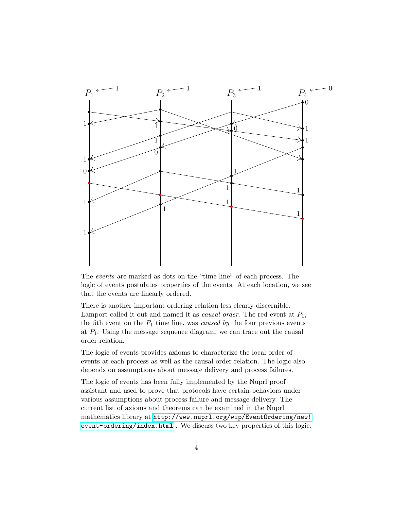

The events are marked as dots on the "time line" of each process. The logic of events postulates properties of the events. At each location, we see that the events are linearly ordered.

There is another important ordering relation less clearly discernible. Lamport called it out and named it as *causal order*. The red event at  $P_1$ , the 5th event on the  $P_1$  time line, was *caused by* the four previous events at  $P_1$ . Using the message sequence diagram, we can trace out the causal order relation.

The logic of events provides axioms to characterize the local order of events at each process as well as the causal order relation. The logic also depends on assumptions about message delivery and process failures.

The logic of events has been fully implemented by the Nuprl proof assistant and used to prove that protocols have certain behaviors under various assumptions about process failure and message delivery. The current list of axioms and theorems can be examined in the Nuprl mathematics library at [http://www.nuprl.org/wip/EventOrdering/new!](http://www.nuprl.org/wip/EventOrdering/new!event-ordering/index.html) [event-ordering/index.html](http://www.nuprl.org/wip/EventOrdering/new!event-ordering/index.html) . We discuss two key properties of this logic.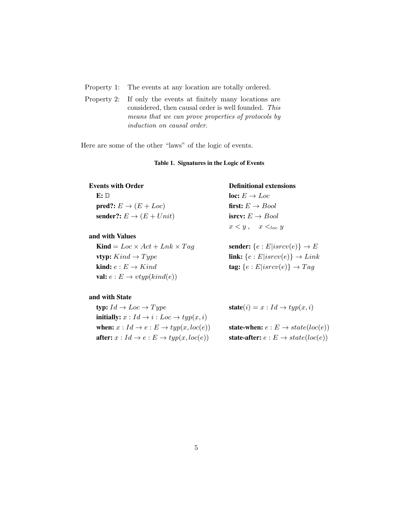Property 1: The events at any location are totally ordered. neering reasons related to namespace management and abstract components.

Property 2: If only the events at finitely many locations are considered, then causal order is well founded. This  $S$  considered, then causal order is well founded. This means that we can prove properties of protocols by  $\frac{1}{10}$  induction on causal order.  $S_1$  atoms like the ones used here for protections are  $S_2$  in protection. Here  $S_3$  is just a type  $S_4$  is just a type  $S_5$  in  $S_6$  is just a type  $S_7$  is just a type  $S_7$  is just a type  $S_7$  is just a type  $S_7$ 

Here are some of the other "laws" of the logic of events.

### Table 1. Signatures in the Logic of Events

E: D loc:  $E \rightarrow Loc$ **pred?:**  $E \rightarrow (E + Loc)$  **first:**  $E \rightarrow Bool$ <br> **sender?:**  $E \rightarrow (E + Unit)$  **isrcv:**  $E \rightarrow Bool$ sender?:  $E \rightarrow (E + Unit)$ 

### and with Values

**Kind** =  $Loc \times Act + Lnk \times Tag$  **sender:**  $\{e : E|isrcv(e)\} \rightarrow E$ vtyp:  $Kind \rightarrow Type$  link:  $\{e : E|isrcv(e)\} \rightarrow Link$ **kind:**  $e : E \to Kind$  **tag:**  $\{e : E| isrcv(e)\} \to Tag$ val:  $e : E \rightarrow vtyp(kind(e))$ 

## and with State

typ:  $Id \rightarrow Loc \rightarrow Type$  state $(i) = x : Id \rightarrow typ(x, i)$ **initially:**  $x : Id \rightarrow i : Loc \rightarrow typ(x, i)$ when:  $x : Id \to e : E \to typ(x, loc(e))$  state-when:  $e : E \to state(loc(e))$ after:  $x : Id \to e : E \to typ(x, loc(e))$  state-after:  $e : E \to state(loc(e))$ 

## Events with Order Definitional extensions

 $x < y$ ,  $x <_{loc} y$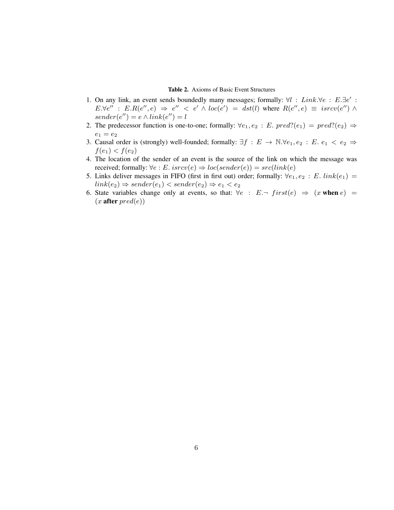### Table 2. Axioms of Basic Event Structures

- 1. On any link, an event sends boundedly many messages; formally:  $\forall l : Link. \forall e : E.\exists e' :$  $E.\forall e'': E.R(e'',e) \Rightarrow e'' < e' \wedge loc(e') = dist(l)$  where  $R(e'',e) \equiv isrcv(e'') \wedge$  $sender(e'') = e \wedge link(e'') = l$
- 2. The predecessor function is one-to-one; formally:  $\forall e_1, e_2 : E. pred?(e_1) = pred?(e_2) \Rightarrow$  $e_1 = e_2$
- 3. Causal order is (strongly) well-founded; formally:  $\exists f : E \rightarrow \mathbb{N} \forall e_1, e_2 : E \cdot e_1 < e_2 \Rightarrow$  $f(e_1) < f(e_2)$
- 4. The location of the sender of an event is the source of the link on which the message was received; formally:  $\forall e : E$ .  $isrcv(e) \Rightarrow loc(sender(e)) = src(link(e))$
- 5. Links deliver messages in FIFO (first in first out) order; formally:  $\forall e_1, e_2 : E$ .  $link(e_1) =$  $link(e_2) \Rightarrow sender(e_1) < sender(e_2) \Rightarrow e_1 < e_2$
- 6. State variables change only at events, so that:  $\forall e : E \neg \text{ first}(e) \Rightarrow (x \text{ when } e) =$  $(x$  after  $pred(e)$